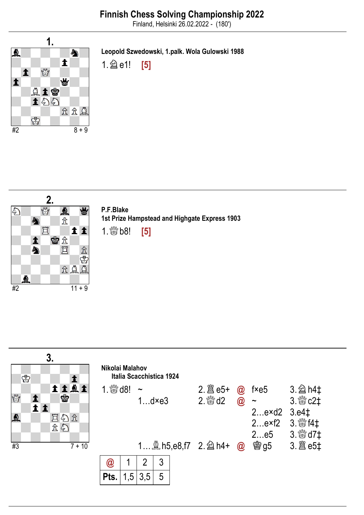Finland, Helsinki 26.02.2022 - (180')



Leopold Szwedowski, 1.palk. Wola Gulowski 1988

1.  $\hat{a}$  e1! [5]



P.F.Blake 1st Prize Hampstead and Highgate Express 1903

 $1.$   $\frac{80}{15}$  b8! [5]

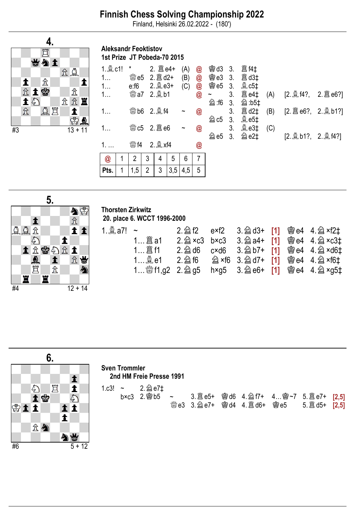# Finnish Chess Solving Championship 2022

Finland, Helsinki 26.02.2022 - (180')



#### Aleksandr Feoktistov 1st Prize JТ Pobeda-70 2015

| 1<br>1<br>1 |   | *<br><b>鬱e5</b><br>e:f6<br>▓a7 2. @ b1 |                | $2.$ $\hat{\mathbb{B}}$ d2+<br>$2.2e3+$ |     | (A)<br>(B)<br>(C)                   | @<br>$\circledR$<br>@<br>$\circledR$ | <b>鬱d3</b><br><b>鬱e3</b><br><b>嚠 e5</b><br>$\tilde{}$ | 3.<br>3.<br>3.<br>3 <sub>1</sub> | <b>闔</b> f4‡<br><b>闔 d3‡</b><br><b>奠 c5‡</b><br><b>闔 e4‡</b> | (A)        | $[2. \& 14?, 2. \& 66?]$ |  |
|-------------|---|----------------------------------------|----------------|-----------------------------------------|-----|-------------------------------------|--------------------------------------|-------------------------------------------------------|----------------------------------|--------------------------------------------------------------|------------|--------------------------|--|
| 1<br>1      |   |                                        |                | ▓b6 2. <b>③</b> f4                      |     | $\tilde{\phantom{a}}$<br>$\tilde{}$ | @<br>@                               | <b>②:f6</b><br>$@{\rm cb}$                            | 3.<br>3.<br>3 <sub>1</sub><br>3. | <sup>2</sup> :b5‡<br><b>闔 d2‡</b><br><b>奠e5‡</b><br>$Q$ e3‡  | (B)<br>(C) | [2. 2 e6?, 2. 2 b1?]     |  |
| @           | 1 | $\frac{100}{100}$ f4<br>2              | 3              | 4                                       | 5   | 6                                   | @<br>7                               | U e5                                                  | 3.                               | U e2‡                                                        |            | [2. @ b1?, 2. @ f4?]     |  |
| Pts.        | 1 | 1,5                                    | $\overline{2}$ | 3                                       | 3,5 | 4,5                                 | 5                                    |                                                       |                                  |                                                              |            |                          |  |



### Thorsten Zirkwitz 20. place 6. WCCT 1996-2000

|  |  |  | 2. $\hat{2}$ f2 exf2 3. $\hat{2}$ d3+ [1] @ e4 4. $\hat{2}$ xf2 $\ddagger$  |
|--|--|--|-----------------------------------------------------------------------------|
|  |  |  | 2. $\hat{2}$ ×c3 b×c3 3. $\hat{2}$ a4+ [1] @ e4 4. $\hat{2}$ ×c3 $\ddagger$ |
|  |  |  | 2. $\hat{2}$ d6 c×d6 3. $\hat{2}$ b7+ [1] @ e4 4. $\hat{2}$ ×d6 $\ddagger$  |
|  |  |  |                                                                             |
|  |  |  |                                                                             |

|    |                         | 6. |    |          |              | <b>Sven Trommler</b> |                                                  |  |  |                                   |  |
|----|-------------------------|----|----|----------|--------------|----------------------|--------------------------------------------------|--|--|-----------------------------------|--|
|    |                         |    |    |          |              |                      | 2nd HM Freie Presse 1991                         |  |  |                                   |  |
|    | $\mathcal{L}_{2}$<br>土曾 | 罝  |    | 今        | 1.c3! $\sim$ |                      | 2. 2 e7‡<br>$b \times c3$ 2. 彎 $b5$ ~ 3. 簋 $e5+$ |  |  | 彎d6 4. @ f7+ 4 彎∼7 5. 簋 e7+ [2,5] |  |
|    | i i                     |    |    |          |              |                      |                                                  |  |  |                                   |  |
|    | 立会                      |    |    |          |              |                      |                                                  |  |  |                                   |  |
|    |                         |    | 外当 |          |              |                      |                                                  |  |  |                                   |  |
| #6 |                         |    |    | $5 + 12$ |              |                      |                                                  |  |  |                                   |  |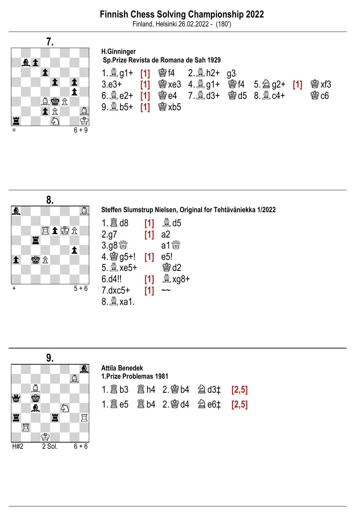# Finnish Chess Solving Championship 2022

Finland, Helsinki 26.02.2022 - (180')



## H.Ginninger Sp.Prize Revista de Romana de Sah 1929

| 3.e3+ <b>[1]</b> 嚠xe3 4.奠g1+ 嚠f4 5.@g2+ <b>[1]</b> 嚠xf3<br>6.奠e2+ [1] 彎e4 7.奠d3+ 彎d5 8.奠c4+ | $\circledR$ c6 |
|---------------------------------------------------------------------------------------------|----------------|
|                                                                                             |                |



Steffen Slumstrup Nielsen, Original for Tehtäväniekka 1/2022

|                      | [1] | $\mathbb{Q}$ d5 |
|----------------------|-----|-----------------|
| 2.g7                 | [1] | a2              |
|                      |     |                 |
| 4. <sup>3</sup> g5+! | [1] | e5!             |
| 5. 2xe5+             |     | <b>鸞d2</b>      |
| 6.04!!               | [1] | <b>ै xg8+</b>   |
| $7.0x5+$             | [1] |                 |
| 8. <u>奠</u> xa1.     |     |                 |